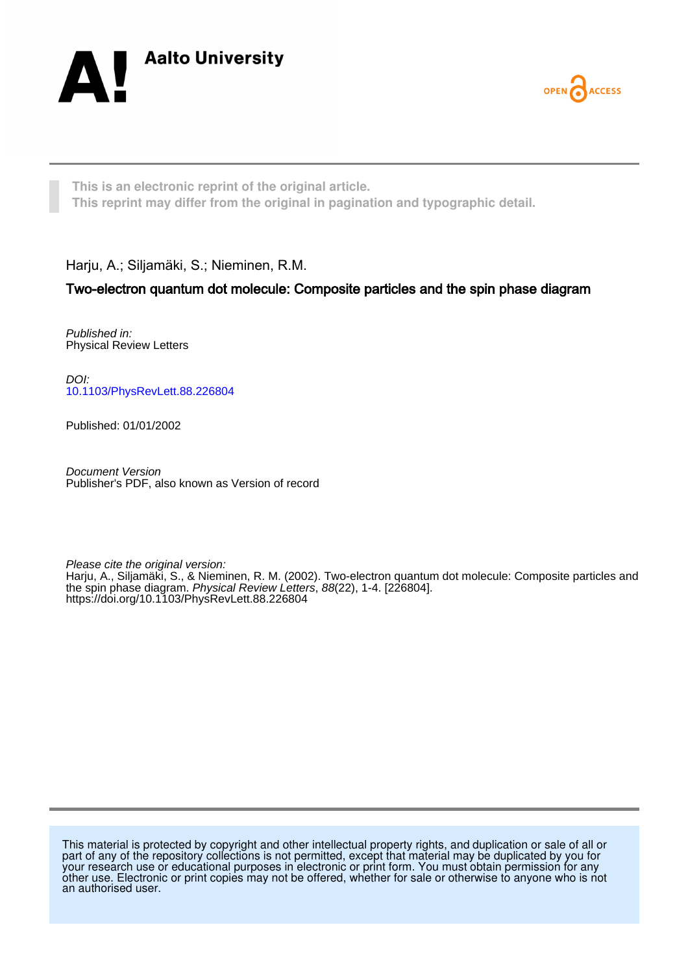



**This is an electronic reprint of the original article. This reprint may differ from the original in pagination and typographic detail.**

Harju, A.; Siljamäki, S.; Nieminen, R.M.

## Two-electron quantum dot molecule: Composite particles and the spin phase diagram

Published in: Physical Review Letters

DOI: [10.1103/PhysRevLett.88.226804](https://doi.org/10.1103/PhysRevLett.88.226804)

Published: 01/01/2002

Document Version Publisher's PDF, also known as Version of record

Please cite the original version: Harju, A., Siljamäki, S., & Nieminen, R. M. (2002). Two-electron quantum dot molecule: Composite particles and the spin phase diagram. Physical Review Letters, 88(22), 1-4. [226804]. <https://doi.org/10.1103/PhysRevLett.88.226804>

This material is protected by copyright and other intellectual property rights, and duplication or sale of all or part of any of the repository collections is not permitted, except that material may be duplicated by you for your research use or educational purposes in electronic or print form. You must obtain permission for any other use. Electronic or print copies may not be offered, whether for sale or otherwise to anyone who is not an authorised user.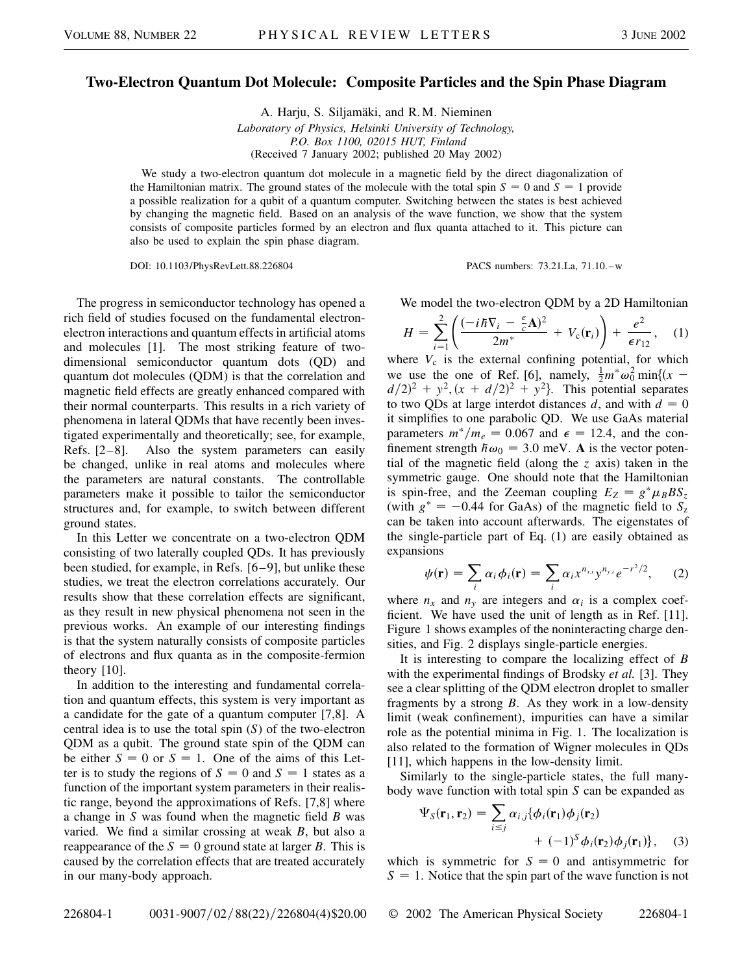## **Two-Electron Quantum Dot Molecule: Composite Particles and the Spin Phase Diagram**

A. Harju, S. Siljamäki, and R. M. Nieminen *Laboratory of Physics, Helsinki University of Technology, P.O. Box 1100, 02015 HUT, Finland* (Received 7 January 2002; published 20 May 2002)

We study a two-electron quantum dot molecule in a magnetic field by the direct diagonalization of the Hamiltonian matrix. The ground states of the molecule with the total spin  $S = 0$  and  $S = 1$  provide a possible realization for a qubit of a quantum computer. Switching between the states is best achieved by changing the magnetic field. Based on an analysis of the wave function, we show that the system consists of composite particles formed by an electron and flux quanta attached to it. This picture can also be used to explain the spin phase diagram.

DOI: 10.1103/PhysRevLett.88.226804 PACS numbers: 73.21.La, 71.10.–w

The progress in semiconductor technology has opened a rich field of studies focused on the fundamental electronelectron interactions and quantum effects in artificial atoms and molecules [1]. The most striking feature of twodimensional semiconductor quantum dots (QD) and quantum dot molecules (QDM) is that the correlation and magnetic field effects are greatly enhanced compared with their normal counterparts. This results in a rich variety of phenomena in lateral QDMs that have recently been investigated experimentally and theoretically; see, for example, Refs. [2–8]. Also the system parameters can easily be changed, unlike in real atoms and molecules where the parameters are natural constants. The controllable parameters make it possible to tailor the semiconductor structures and, for example, to switch between different ground states.

In this Letter we concentrate on a two-electron QDM consisting of two laterally coupled QDs. It has previously been studied, for example, in Refs. [6–9], but unlike these studies, we treat the electron correlations accurately. Our results show that these correlation effects are significant, as they result in new physical phenomena not seen in the previous works. An example of our interesting findings is that the system naturally consists of composite particles of electrons and flux quanta as in the composite-fermion theory [10].

In addition to the interesting and fundamental correlation and quantum effects, this system is very important as a candidate for the gate of a quantum computer [7,8]. A central idea is to use the total spin (*S*) of the two-electron QDM as a qubit. The ground state spin of the QDM can be either  $S = 0$  or  $S = 1$ . One of the aims of this Letter is to study the regions of  $S = 0$  and  $S = 1$  states as a function of the important system parameters in their realistic range, beyond the approximations of Refs. [7,8] where a change in *S* was found when the magnetic field *B* was varied. We find a similar crossing at weak *B*, but also a reappearance of the  $S = 0$  ground state at larger *B*. This is caused by the correlation effects that are treated accurately in our many-body approach.

We model the two-electron QDM by a 2D Hamiltonian

$$
H = \sum_{i=1}^{2} \left( \frac{(-i\hbar \nabla_i - \frac{e}{c} \mathbf{A})^2}{2m^*} + V_c(\mathbf{r}_i) \right) + \frac{e^2}{\epsilon r_{12}}, \quad (1)
$$

where  $V_c$  is the external confining potential, for which we use the one of Ref. [6], namely,  $\frac{1}{2}m^*\omega_0^2$  min $\{(x$  $d/2$ <sup>2</sup> + *y*<sup>2</sup>,  $(x + d/2)$ <sup>2</sup> + *y*<sup>2</sup>. This potential separates to two QDs at large interdot distances  $d$ , and with  $d = 0$ it simplifies to one parabolic QD. We use GaAs material parameters  $m^*/m_e = 0.067$  and  $\epsilon = 12.4$ , and the confinement strength  $\hbar\omega_0 = 3.0$  meV. **A** is the vector potential of the magnetic field (along the *z* axis) taken in the symmetric gauge. One should note that the Hamiltonian is spin-free, and the Zeeman coupling  $E_Z = g^* \mu_B B S_z$ (with  $g^* = -0.44$  for GaAs) of the magnetic field to  $S_z$ can be taken into account afterwards. The eigenstates of the single-particle part of Eq. (1) are easily obtained as expansions

$$
\psi(\mathbf{r}) = \sum_{i} \alpha_i \phi_i(\mathbf{r}) = \sum_{i} \alpha_i x^{n_{x,i}} y^{n_{y,i}} e^{-r^2/2}, \qquad (2)
$$

where  $n_x$  and  $n_y$  are integers and  $\alpha_i$  is a complex coefficient. We have used the unit of length as in Ref. [11]. Figure 1 shows examples of the noninteracting charge densities, and Fig. 2 displays single-particle energies.

It is interesting to compare the localizing effect of *B* with the experimental findings of Brodsky *et al.* [3]. They see a clear splitting of the QDM electron droplet to smaller fragments by a strong *B*. As they work in a low-density limit (weak confinement), impurities can have a similar role as the potential minima in Fig. 1. The localization is also related to the formation of Wigner molecules in QDs [11], which happens in the low-density limit.

Similarly to the single-particle states, the full manybody wave function with total spin *S* can be expanded as

$$
\Psi_{S}(\mathbf{r}_{1}, \mathbf{r}_{2}) = \sum_{i \leq j} \alpha_{i,j} {\phi_{i}(\mathbf{r}_{1}) \phi_{j}(\mathbf{r}_{2})} + (-1)^{S} \phi_{i}(\mathbf{r}_{2}) \phi_{j}(\mathbf{r}_{1})}, \quad (3)
$$

which is symmetric for  $S = 0$  and antisymmetric for  $S = 1$ . Notice that the spin part of the wave function is not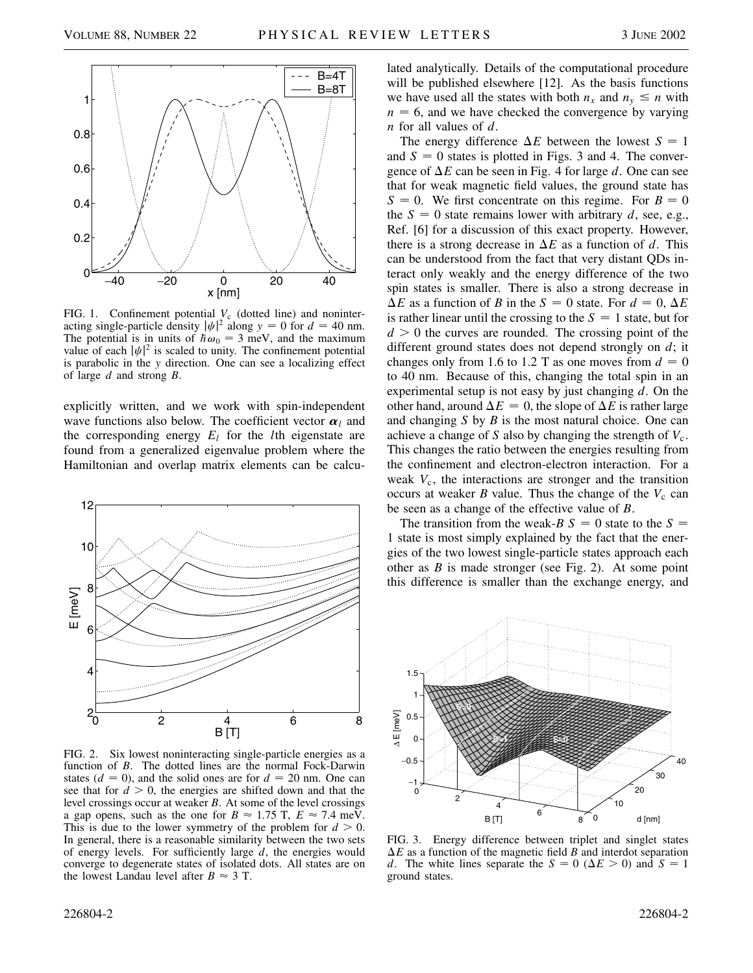

FIG. 1. Confinement potential  $V_c$  (dotted line) and noninteracting single-particle density  $|\psi|^2$  along  $y = 0$  for  $d = 40$  nm. The potential is in units of  $h\omega_0 = 3$  meV, and the maximum value of each  $|\psi|^2$  is scaled to unity. The confinement potential is parabolic in the *y* direction. One can see a localizing effect of large *d* and strong *B*.

explicitly written, and we work with spin-independent wave functions also below. The coefficient vector  $\alpha_l$  and the corresponding energy  $E_l$  for the *l*th eigenstate are found from a generalized eigenvalue problem where the Hamiltonian and overlap matrix elements can be calcu-



FIG. 2. Six lowest noninteracting single-particle energies as a function of *B*. The dotted lines are the normal Fock-Darwin states  $(d = 0)$ , and the solid ones are for  $d = 20$  nm. One can see that for  $d > 0$ , the energies are shifted down and that the level crossings occur at weaker *B*. At some of the level crossings a gap opens, such as the one for  $B \approx 1.75$  T,  $E \approx 7.4$  meV. This is due to the lower symmetry of the problem for  $d > 0$ . In general, there is a reasonable similarity between the two sets of energy levels. For sufficiently large *d*, the energies would converge to degenerate states of isolated dots. All states are on the lowest Landau level after  $B \approx 3$  T.

lated analytically. Details of the computational procedure will be published elsewhere [12]. As the basis functions we have used all the states with both  $n_x$  and  $n_y \leq n$  with  $n = 6$ , and we have checked the convergence by varying *n* for all values of *d*.

The energy difference  $\Delta E$  between the lowest  $S = 1$ and  $S = 0$  states is plotted in Figs. 3 and 4. The convergence of  $\Delta E$  can be seen in Fig. 4 for large d. One can see that for weak magnetic field values, the ground state has  $S = 0$ . We first concentrate on this regime. For  $B = 0$ the  $S = 0$  state remains lower with arbitrary *d*, see, e.g., Ref. [6] for a discussion of this exact property. However, there is a strong decrease in  $\Delta E$  as a function of *d*. This can be understood from the fact that very distant QDs interact only weakly and the energy difference of the two spin states is smaller. There is also a strong decrease in  $\Delta E$  as a function of *B* in the *S* = 0 state. For  $d = 0$ ,  $\Delta E$ is rather linear until the crossing to the  $S = 1$  state, but for  $d > 0$  the curves are rounded. The crossing point of the different ground states does not depend strongly on *d*; it changes only from 1.6 to 1.2 T as one moves from  $d = 0$ to 40 nm. Because of this, changing the total spin in an experimental setup is not easy by just changing *d*. On the other hand, around  $\Delta E = 0$ , the slope of  $\Delta E$  is rather large and changing *S* by *B* is the most natural choice. One can achieve a change of *S* also by changing the strength of  $V_c$ . This changes the ratio between the energies resulting from the confinement and electron-electron interaction. For a weak *V*c, the interactions are stronger and the transition occurs at weaker  $B$  value. Thus the change of the  $V_c$  can be seen as a change of the effective value of *B*.

The transition from the weak-*B*  $S = 0$  state to the  $S =$ 1 state is most simply explained by the fact that the energies of the two lowest single-particle states approach each other as *B* is made stronger (see Fig. 2). At some point this difference is smaller than the exchange energy, and



FIG. 3. Energy difference between triplet and singlet states  $\Delta E$  as a function of the magnetic field *B* and interdot separation *d*. The white lines separate the  $S = 0$  ( $\Delta E > 0$ ) and  $S = 1$ ground states.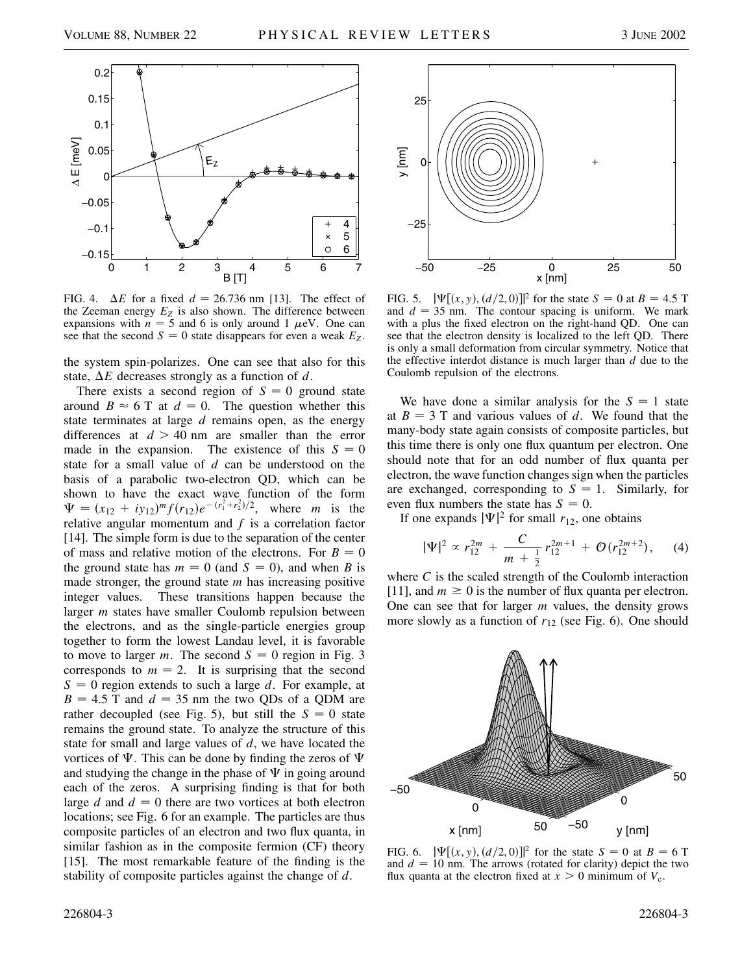

FIG. 4.  $\Delta E$  for a fixed  $d = 26.736$  nm [13]. The effect of the Zeeman energy  $E_Z$  is also shown. The difference between expansions with  $n = 5$  and 6 is only around 1  $\mu$ eV. One can see that the second  $S = 0$  state disappears for even a weak  $E_Z$ .

the system spin-polarizes. One can see that also for this state,  $\Delta E$  decreases strongly as a function of *d*.

There exists a second region of  $S = 0$  ground state around  $B \approx 6$  T at  $d = 0$ . The question whether this state terminates at large *d* remains open, as the energy differences at  $d > 40$  nm are smaller than the error made in the expansion. The existence of this  $S = 0$ state for a small value of *d* can be understood on the basis of a parabolic two-electron QD, which can be shown to have the exact wave function of the form  $\Psi = (x_{12} + iy_{12})^m f(r_{12}) e^{-(r_1^2 + r_2^2)/2}$ , where *m* is the relative angular momentum and *f* is a correlation factor [14]. The simple form is due to the separation of the center of mass and relative motion of the electrons. For  $B = 0$ the ground state has  $m = 0$  (and  $S = 0$ ), and when *B* is made stronger, the ground state *m* has increasing positive integer values. These transitions happen because the larger *m* states have smaller Coulomb repulsion between the electrons, and as the single-particle energies group together to form the lowest Landau level, it is favorable to move to larger *m*. The second  $S = 0$  region in Fig. 3 corresponds to  $m = 2$ . It is surprising that the second  $S = 0$  region extends to such a large *d*. For example, at  $B = 4.5$  T and  $d = 35$  nm the two QDs of a QDM are rather decoupled (see Fig. 5), but still the  $S = 0$  state remains the ground state. To analyze the structure of this state for small and large values of *d*, we have located the vortices of  $\Psi$ . This can be done by finding the zeros of  $\Psi$ and studying the change in the phase of  $\Psi$  in going around each of the zeros. A surprising finding is that for both large  $d$  and  $d = 0$  there are two vortices at both electron locations; see Fig. 6 for an example. The particles are thus composite particles of an electron and two flux quanta, in similar fashion as in the composite fermion (CF) theory [15]. The most remarkable feature of the finding is the stability of composite particles against the change of *d*.



FIG. 5.  $|\Psi[(x, y), (d/2, 0)]|^2$  for the state  $S = 0$  at  $B = 4.5$  T and  $d = 35$  nm. The contour spacing is uniform. We mark with a plus the fixed electron on the right-hand QD. One can see that the electron density is localized to the left QD. There is only a small deformation from circular symmetry. Notice that the effective interdot distance is much larger than *d* due to the Coulomb repulsion of the electrons.

We have done a similar analysis for the  $S = 1$  state at  $B = 3$  T and various values of d. We found that the many-body state again consists of composite particles, but this time there is only one flux quantum per electron. One should note that for an odd number of flux quanta per electron, the wave function changes sign when the particles are exchanged, corresponding to  $S = 1$ . Similarly, for even flux numbers the state has  $S = 0$ .

If one expands  $|\Psi|^2$  for small  $r_{12}$ , one obtains

$$
|\Psi|^2 \propto r_{12}^{2m} + \frac{C}{m + \frac{1}{2}} r_{12}^{2m+1} + \mathcal{O}(r_{12}^{2m+2}), \quad (4)
$$

where *C* is the scaled strength of the Coulomb interaction [11], and  $m \ge 0$  is the number of flux quanta per electron. One can see that for larger *m* values, the density grows more slowly as a function of *r*<sup>12</sup> (see Fig. 6). One should



FIG. 6.  $|\Psi[(x, y), (d/2, 0)]|^2$  for the state  $S = 0$  at  $B = 6$  T and  $d = 10$  nm. The arrows (rotated for clarity) depict the two flux quanta at the electron fixed at  $x > 0$  minimum of  $V_c$ .